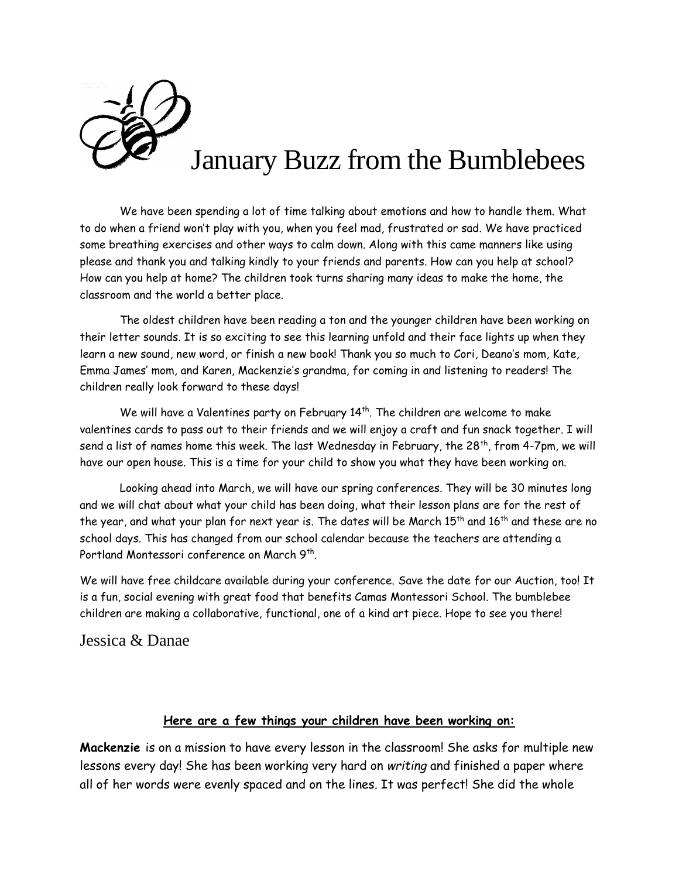

We have been spending a lot of time talking about emotions and how to handle them. What to do when a friend won't play with you, when you feel mad, frustrated or sad. We have practiced some breathing exercises and other ways to calm down. Along with this came manners like using please and thank you and talking kindly to your friends and parents. How can you help at school? How can you help at home? The children took turns sharing many ideas to make the home, the classroom and the world a better place.

The oldest children have been reading a ton and the younger children have been working on their letter sounds. It is so exciting to see this learning unfold and their face lights up when they learn a new sound, new word, or finish a new book! Thank you so much to Cori, Deano's mom, Kate, Emma James' mom, and Karen, Mackenzie's grandma, for coming in and listening to readers! The children really look forward to these days!

We will have a Valentines party on February 14<sup>th</sup>. The children are welcome to make valentines cards to pass out to their friends and we will enjoy a craft and fun snack together. I will send a list of names home this week. The last Wednesday in February, the  $28<sup>th</sup>$ , from 4-7pm, we will have our open house. This is a time for your child to show you what they have been working on.

Looking ahead into March, we will have our spring conferences. They will be 30 minutes long and we will chat about what your child has been doing, what their lesson plans are for the rest of the year, and what your plan for next year is. The dates will be March 15<sup>th</sup> and 16<sup>th</sup> and these are no school days. This has changed from our school calendar because the teachers are attending a Portland Montessori conference on March 9<sup>th</sup>.

We will have free childcare available during your conference. Save the date for our Auction, too! It is a fun, social evening with great food that benefits Camas Montessori School. The bumblebee children are making a collaborative, functional, one of a kind art piece. Hope to see you there!

Jessica & Danae

## **Here are a few things your children have been working on:**

**Mackenzie** is on a mission to have every lesson in the classroom! She asks for multiple new lessons every day! She has been working very hard on *writing* and finished a paper where all of her words were evenly spaced and on the lines. It was perfect! She did the whole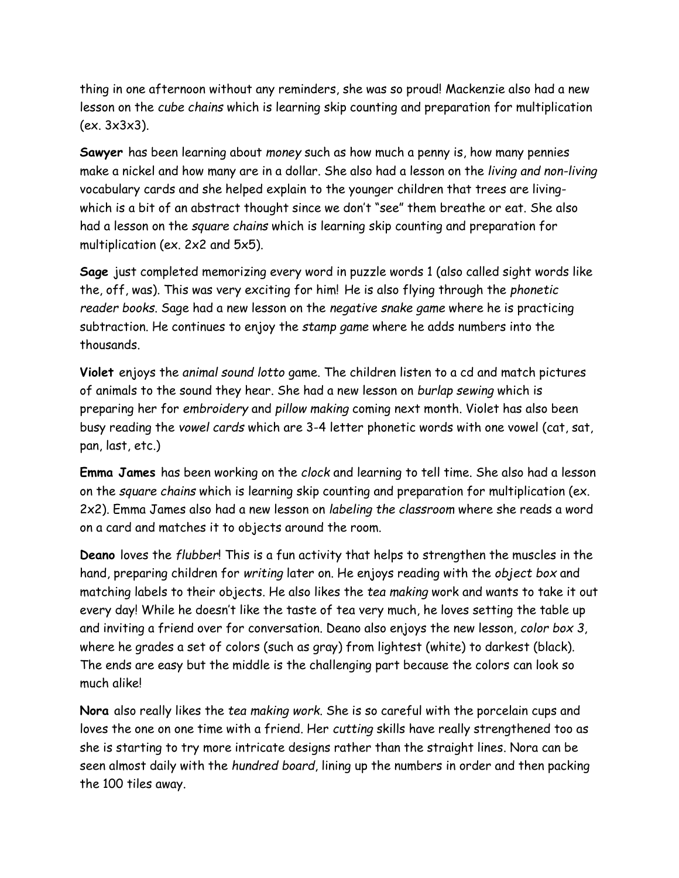thing in one afternoon without any reminders, she was so proud! Mackenzie also had a new lesson on the *cube chains* which is learning skip counting and preparation for multiplication (ex. 3x3x3).

**Sawyer** has been learning about *money* such as how much a penny is, how many pennies make a nickel and how many are in a dollar. She also had a lesson on the *living and non-living* vocabulary cards and she helped explain to the younger children that trees are livingwhich is a bit of an abstract thought since we don't "see" them breathe or eat. She also had a lesson on the *square chains* which is learning skip counting and preparation for multiplication (ex. 2x2 and 5x5).

**Sage** just completed memorizing every word in puzzle words 1 (also called sight words like the, off, was). This was very exciting for him! He is also flying through the *phonetic reader books*. Sage had a new lesson on the *negative snake game* where he is practicing subtraction. He continues to enjoy the *stamp game* where he adds numbers into the thousands.

**Violet** enjoys the *animal sound lotto* game. The children listen to a cd and match pictures of animals to the sound they hear. She had a new lesson on *burlap sewing* which is preparing her for *embroidery* and *pillow making* coming next month. Violet has also been busy reading the *vowel cards* which are 3-4 letter phonetic words with one vowel (cat, sat, pan, last, etc.)

**Emma James** has been working on the *clock* and learning to tell time. She also had a lesson on the *square chains* which is learning skip counting and preparation for multiplication (ex. 2x2). Emma James also had a new lesson on *labeling the classroom* where she reads a word on a card and matches it to objects around the room.

**Deano** loves the *flubber*! This is a fun activity that helps to strengthen the muscles in the hand, preparing children for *writing* later on. He enjoys reading with the *object box* and matching labels to their objects. He also likes the *tea making* work and wants to take it out every day! While he doesn't like the taste of tea very much, he loves setting the table up and inviting a friend over for conversation. Deano also enjoys the new lesson, *color box 3*, where he grades a set of colors (such as gray) from lightest (white) to darkest (black). The ends are easy but the middle is the challenging part because the colors can look so much alike!

**Nora** also really likes the *tea making work*. She is so careful with the porcelain cups and loves the one on one time with a friend. Her *cutting* skills have really strengthened too as she is starting to try more intricate designs rather than the straight lines. Nora can be seen almost daily with the *hundred board*, lining up the numbers in order and then packing the 100 tiles away.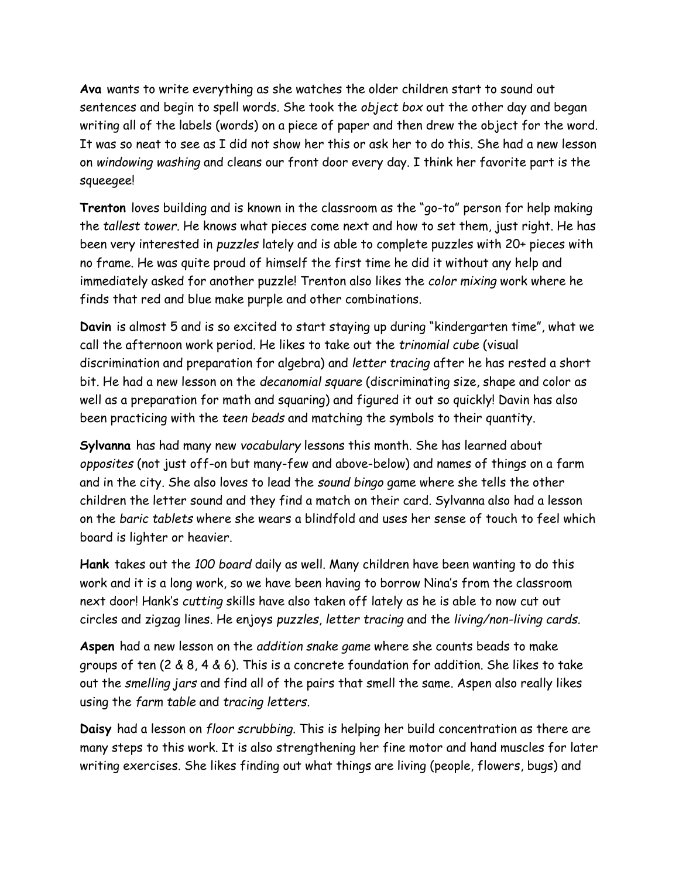**Ava** wants to write everything as she watches the older children start to sound out sentences and begin to spell words. She took the *object box* out the other day and began writing all of the labels (words) on a piece of paper and then drew the object for the word. It was so neat to see as I did not show her this or ask her to do this. She had a new lesson on *windowing washing* and cleans our front door every day. I think her favorite part is the squeegee!

**Trenton** loves building and is known in the classroom as the "go-to" person for help making the *tallest tower*. He knows what pieces come next and how to set them, just right. He has been very interested in *puzzles* lately and is able to complete puzzles with 20+ pieces with no frame. He was quite proud of himself the first time he did it without any help and immediately asked for another puzzle! Trenton also likes the *color mixing* work where he finds that red and blue make purple and other combinations.

**Davin** is almost 5 and is so excited to start staying up during "kindergarten time", what we call the afternoon work period. He likes to take out the *trinomial cube* (visual discrimination and preparation for algebra) and *letter tracing* after he has rested a short bit. He had a new lesson on the *decanomial square* (discriminating size, shape and color as well as a preparation for math and squaring) and figured it out so quickly! Davin has also been practicing with the *teen beads* and matching the symbols to their quantity.

**Sylvanna** has had many new *vocabulary* lessons this month. She has learned about *opposites* (not just off-on but many-few and above-below) and names of things on a farm and in the city. She also loves to lead the *sound bingo* game where she tells the other children the letter sound and they find a match on their card. Sylvanna also had a lesson on the *baric tablets* where she wears a blindfold and uses her sense of touch to feel which board is lighter or heavier.

**Hank** takes out the *100 board* daily as well. Many children have been wanting to do this work and it is a long work, so we have been having to borrow Nina's from the classroom next door! Hank's *cutting* skills have also taken off lately as he is able to now cut out circles and zigzag lines. He enjoys *puzzles*, *letter tracing* and the *living/non-living cards*.

**Aspen** had a new lesson on the *addition snake game* where she counts beads to make groups of ten (2 & 8, 4 & 6). This is a concrete foundation for addition. She likes to take out the *smelling jars* and find all of the pairs that smell the same. Aspen also really likes using the *farm table* and *tracing letters*.

**Daisy** had a lesson on *floor scrubbing*. This is helping her build concentration as there are many steps to this work. It is also strengthening her fine motor and hand muscles for later writing exercises. She likes finding out what things are living (people, flowers, bugs) and